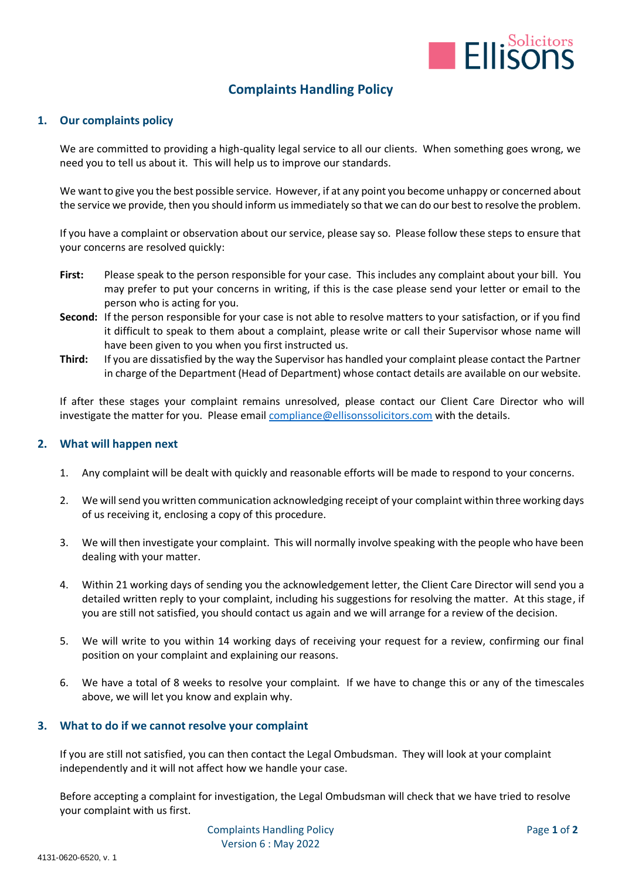

# **Complaints Handling Policy**

### **1. Our complaints policy**

We are committed to providing a high-quality legal service to all our clients. When something goes wrong, we need you to tell us about it. This will help us to improve our standards.

We want to give you the best possible service. However, if at any point you become unhappy or concerned about the service we provide, then you should inform us immediately so that we can do our best to resolve the problem.

If you have a complaint or observation about our service, please say so. Please follow these steps to ensure that your concerns are resolved quickly:

- **First:** Please speak to the person responsible for your case. This includes any complaint about your bill. You may prefer to put your concerns in writing, if this is the case please send your letter or email to the person who is acting for you.
- **Second:** If the person responsible for your case is not able to resolve matters to your satisfaction, or if you find it difficult to speak to them about a complaint, please write or call their Supervisor whose name will have been given to you when you first instructed us.
- **Third:** If you are dissatisfied by the way the Supervisor has handled your complaint please contact the Partner in charge of the Department (Head of Department) whose contact details are available on our website.

If after these stages your complaint remains unresolved, please contact our Client Care Director who will investigate the matter for you. Please email [compliance@ellisonssolicitors.com](mailto:compliance@ellisonssolicitors.com) with the details.

#### **2. What will happen next**

- 1. Any complaint will be dealt with quickly and reasonable efforts will be made to respond to your concerns.
- 2. We will send you written communication acknowledging receipt of your complaint within three working days of us receiving it, enclosing a copy of this procedure.
- 3. We will then investigate your complaint. This will normally involve speaking with the people who have been dealing with your matter.
- 4. Within 21 working days of sending you the acknowledgement letter, the Client Care Director will send you a detailed written reply to your complaint, including his suggestions for resolving the matter. At this stage, if you are still not satisfied, you should contact us again and we will arrange for a review of the decision.
- 5. We will write to you within 14 working days of receiving your request for a review, confirming our final position on your complaint and explaining our reasons.
- 6. We have a total of 8 weeks to resolve your complaint. If we have to change this or any of the timescales above, we will let you know and explain why.

## **3. What to do if we cannot resolve your complaint**

If you are still not satisfied, you can then contact the Legal Ombudsman. They will look at your complaint independently and it will not affect how we handle your case.

Before accepting a complaint for investigation, the Legal Ombudsman will check that we have tried to resolve your complaint with us first.